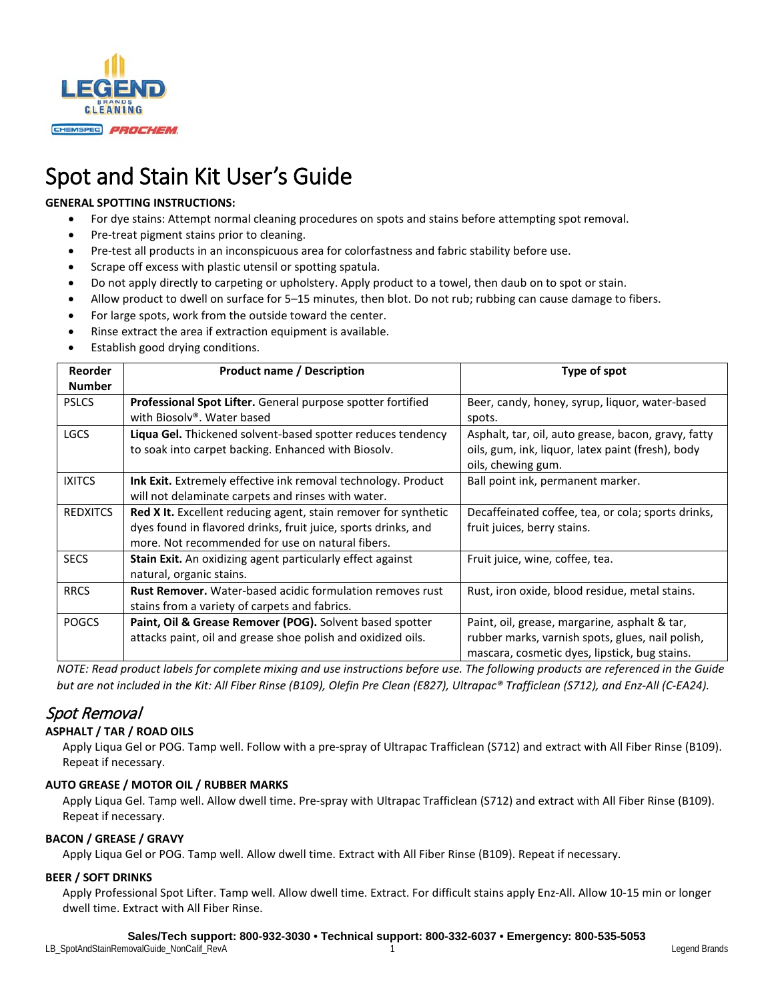

# Spot and Stain Kit User's Guide

### **GENERAL SPOTTING INSTRUCTIONS:**

- For dye stains: Attempt normal cleaning procedures on spots and stains before attempting spot removal.
- Pre-treat pigment stains prior to cleaning.
- Pre-test all products in an inconspicuous area for colorfastness and fabric stability before use.
- Scrape off excess with plastic utensil or spotting spatula.
- Do not apply directly to carpeting or upholstery. Apply product to a towel, then daub on to spot or stain.
- Allow product to dwell on surface for 5–15 minutes, then blot. Do not rub; rubbing can cause damage to fibers.
- For large spots, work from the outside toward the center.
- Rinse extract the area if extraction equipment is available.
- Establish good drying conditions.

| <b>Reorder</b>  | <b>Product name / Description</b>                                  | Type of spot                                        |
|-----------------|--------------------------------------------------------------------|-----------------------------------------------------|
| <b>Number</b>   |                                                                    |                                                     |
| <b>PSLCS</b>    | <b>Professional Spot Lifter.</b> General purpose spotter fortified | Beer, candy, honey, syrup, liquor, water-based      |
|                 | with Biosolv®. Water based                                         | spots.                                              |
| <b>LGCS</b>     | Liqua Gel. Thickened solvent-based spotter reduces tendency        | Asphalt, tar, oil, auto grease, bacon, gravy, fatty |
|                 | to soak into carpet backing. Enhanced with Biosolv.                | oils, gum, ink, liquor, latex paint (fresh), body   |
|                 |                                                                    | oils, chewing gum.                                  |
| <b>IXITCS</b>   | Ink Exit. Extremely effective ink removal technology. Product      | Ball point ink, permanent marker.                   |
|                 | will not delaminate carpets and rinses with water.                 |                                                     |
| <b>REDXITCS</b> | Red X It. Excellent reducing agent, stain remover for synthetic    | Decaffeinated coffee, tea, or cola; sports drinks,  |
|                 | dyes found in flavored drinks, fruit juice, sports drinks, and     | fruit juices, berry stains.                         |
|                 | more. Not recommended for use on natural fibers.                   |                                                     |
| <b>SECS</b>     | Stain Exit. An oxidizing agent particularly effect against         | Fruit juice, wine, coffee, tea.                     |
|                 | natural, organic stains.                                           |                                                     |
| <b>RRCS</b>     | <b>Rust Remover.</b> Water-based acidic formulation removes rust   | Rust, iron oxide, blood residue, metal stains.      |
|                 | stains from a variety of carpets and fabrics.                      |                                                     |
| <b>POGCS</b>    | Paint, Oil & Grease Remover (POG). Solvent based spotter           | Paint, oil, grease, margarine, asphalt & tar,       |
|                 | attacks paint, oil and grease shoe polish and oxidized oils.       | rubber marks, varnish spots, glues, nail polish,    |
|                 |                                                                    | mascara, cosmetic dyes, lipstick, bug stains.       |

*NOTE: Read product labels for complete mixing and use instructions before use. The following products are referenced in the Guide but are not included in the Kit: All Fiber Rinse (B109), Olefin Pre Clean (E827), Ultrapac® Trafficlean (S712), and Enz-All (C-EA24).*

# Spot Removal

#### **ASPHALT / TAR / ROAD OILS**

Apply Liqua Gel or POG. Tamp well. Follow with a pre-spray of Ultrapac Trafficlean (S712) and extract with All Fiber Rinse (B109). Repeat if necessary.

#### **AUTO GREASE / MOTOR OIL / RUBBER MARKS**

Apply Liqua Gel. Tamp well. Allow dwell time. Pre-spray with Ultrapac Trafficlean (S712) and extract with All Fiber Rinse (B109). Repeat if necessary.

#### **BACON / GREASE / GRAVY**

Apply Liqua Gel or POG. Tamp well. Allow dwell time. Extract with All Fiber Rinse (B109). Repeat if necessary.

#### **BEER / SOFT DRINKS**

Apply Professional Spot Lifter. Tamp well. Allow dwell time. Extract. For difficult stains apply Enz-All. Allow 10-15 min or longer dwell time. Extract with All Fiber Rinse.

#### **Sales/Tech support: 800-932-3030 • Technical support: 800-332-6037 • Emergency: 800-535-5053**